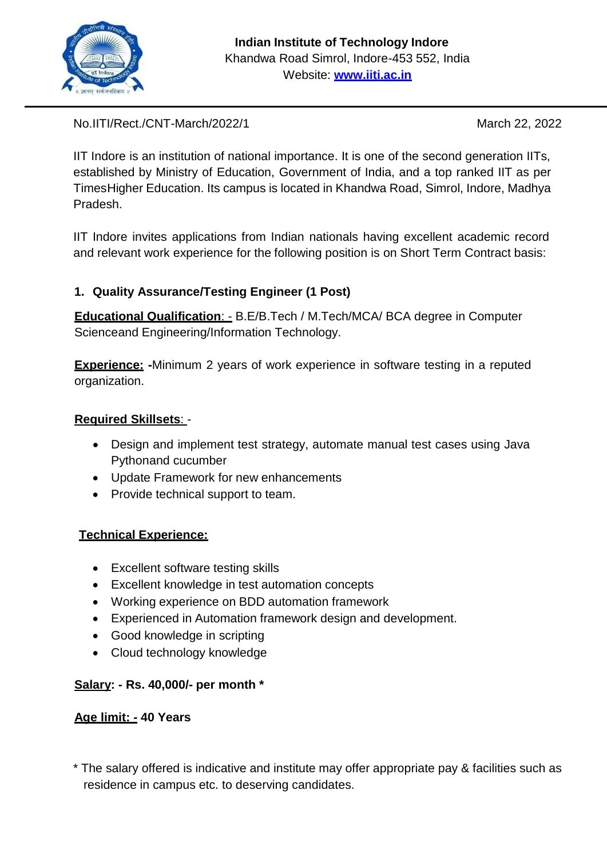

No.IITI/Rect./CNT-March/2022/1 March 22, 2022

IIT Indore is an institution of national importance. It is one of the second generation IITs, established by Ministry of Education, Government of India, and a top ranked IIT as per TimesHigher Education. Its campus is located in Khandwa Road, Simrol, Indore, Madhya Pradesh.

IIT Indore invites applications from Indian nationals having excellent academic record and relevant work experience for the following position is on Short Term Contract basis:

# **1. Quality Assurance/Testing Engineer (1 Post)**

**Educational Qualification**: - B.E/B.Tech / M.Tech/MCA/ BCA degree in Computer Scienceand Engineering/Information Technology.

**Experience: -**Minimum 2 years of work experience in software testing in a reputed organization.

## **Required Skillsets**: -

- Design and implement test strategy, automate manual test cases using Java Pythonand cucumber
- Update Framework for new enhancements
- Provide technical support to team.

## **Technical Experience:**

- Excellent software testing skills
- Excellent knowledge in test automation concepts
- Working experience on BDD automation framework
- Experienced in Automation framework design and development.
- Good knowledge in scripting
- Cloud technology knowledge

## **Salary: - Rs. 40,000/- per month \***

## **Age limit: - 40 Years**

\* The salary offered is indicative and institute may offer appropriate pay & facilities such as residence in campus etc. to deserving candidates.